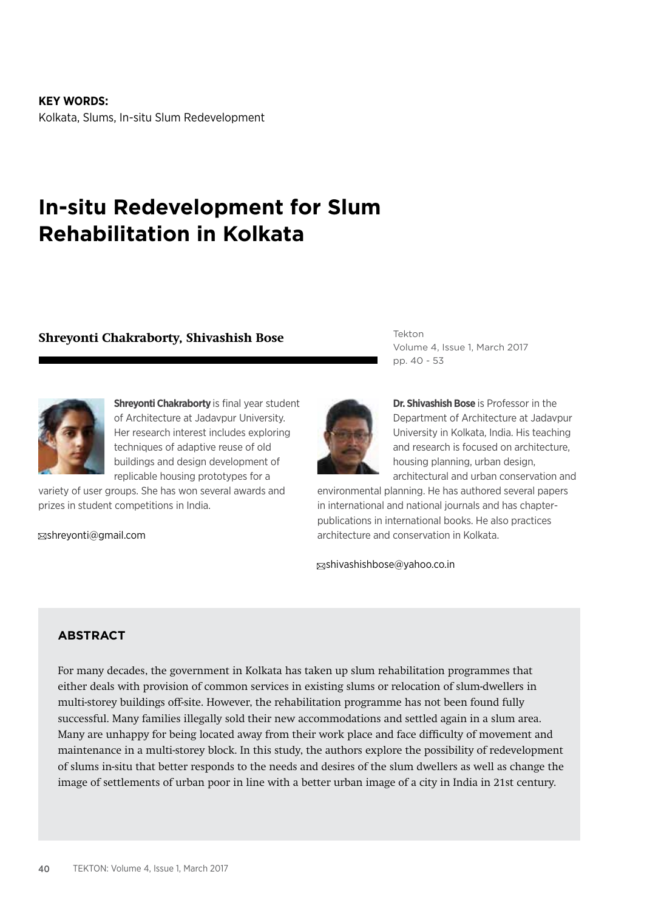**KEY WORDS:** Kolkata, Slums, In-situ Slum Redevelopment

# **In-situ Redevelopment for Slum Rehabilitation in Kolkata**

# **Shreyonti Chakraborty, Shivashish Bose**



**Shreyonti Chakraborty** is final year student of Architecture at Jadavpur University. Her research interest includes exploring techniques of adaptive reuse of old buildings and design development of replicable housing prototypes for a

variety of user groups. She has won several awards and prizes in student competitions in India.

shreyonti@gmail.com

Tekton Volume 4, Issue 1, March 2017 pp. 40 - 53



**Dr. Shivashish Bose** is Professor in the Department of Architecture at Jadavpur University in Kolkata, India. His teaching and research is focused on architecture, housing planning, urban design, architectural and urban conservation and

environmental planning. He has authored several papers in international and national journals and has chapterpublications in international books. He also practices architecture and conservation in Kolkata.

shivashishbose@yahoo.co.in

## **ABSTRACT**

For many decades, the government in Kolkata has taken up slum rehabilitation programmes that either deals with provision of common services in existing slums or relocation of slum-dwellers in multi-storey buildings off-site. However, the rehabilitation programme has not been found fully successful. Many families illegally sold their new accommodations and settled again in a slum area. Many are unhappy for being located away from their work place and face difficulty of movement and maintenance in a multi-storey block. In this study, the authors explore the possibility of redevelopment of slums in-situ that better responds to the needs and desires of the slum dwellers as well as change the image of settlements of urban poor in line with a better urban image of a city in India in 21st century.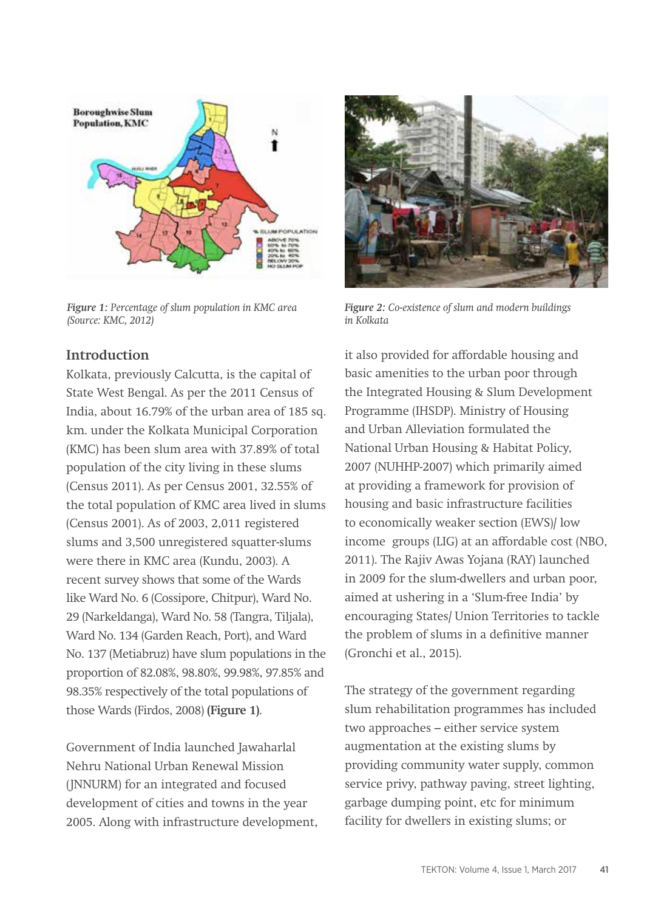

*Figure 1: Percentage of slum population in KMC area (Source: KMC, 2012)*

# **Introduction**

Kolkata, previously Calcutta, is the capital of State West Bengal. As per the 2011 Census of India, about 16.79% of the urban area of 185 sq. km. under the Kolkata Municipal Corporation (KMC) has been slum area with 37.89% of total population of the city living in these slums (Census 2011). As per Census 2001, 32.55% of the total population of KMC area lived in slums (Census 2001). As of 2003, 2,011 registered slums and 3,500 unregistered squatter-slums were there in KMC area (Kundu, 2003). A recent survey shows that some of the Wards like Ward No. 6 (Cossipore, Chitpur), Ward No. 29 (Narkeldanga), Ward No. 58 (Tangra, Tiljala), Ward No. 134 (Garden Reach, Port), and Ward No. 137 (Metiabruz) have slum populations in the proportion of 82.08%, 98.80%, 99.98%, 97.85% and 98.35% respectively of the total populations of those Wards (Firdos, 2008) **(Figure 1)**.

Government of India launched Jawaharlal Nehru National Urban Renewal Mission (JNNURM) for an integrated and focused development of cities and towns in the year 2005. Along with infrastructure development,



*Figure 2: Co-existence of slum and modern buildings in Kolkata*

it also provided for affordable housing and basic amenities to the urban poor through the Integrated Housing & Slum Development Programme (IHSDP). Ministry of Housing and Urban Alleviation formulated the National Urban Housing & Habitat Policy, 2007 (NUHHP-2007) which primarily aimed at providing a framework for provision of housing and basic infrastructure facilities to economically weaker section (EWS)/ low income groups (LIG) at an affordable cost (NBO, 2011). The Rajiv Awas Yojana (RAY) launched in 2009 for the slum-dwellers and urban poor, aimed at ushering in a 'Slum-free India' by encouraging States/ Union Territories to tackle the problem of slums in a definitive manner (Gronchi et al., 2015).

The strategy of the government regarding slum rehabilitation programmes has included two approaches – either service system augmentation at the existing slums by providing community water supply, common service privy, pathway paving, street lighting, garbage dumping point, etc for minimum facility for dwellers in existing slums; or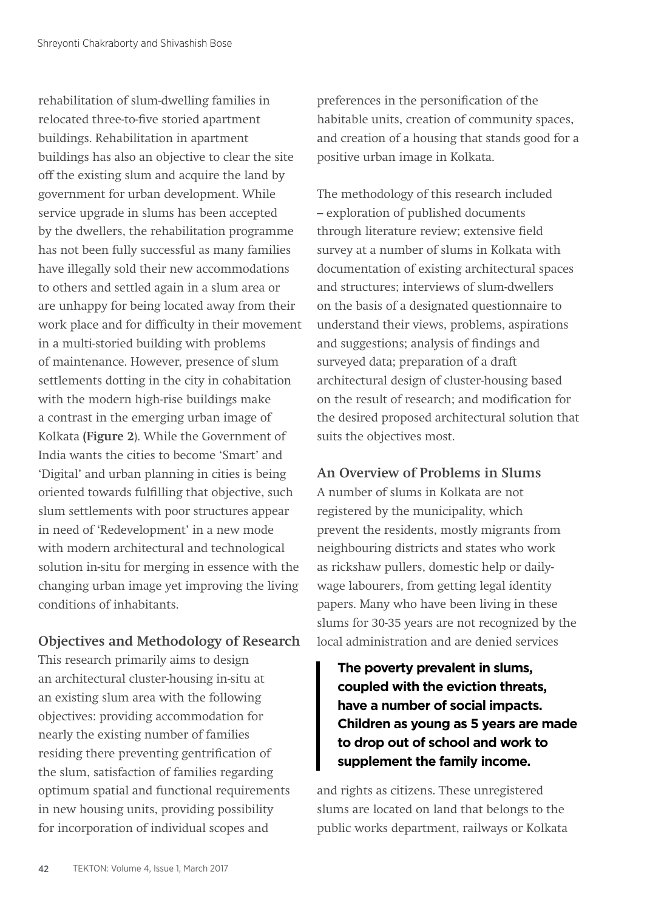rehabilitation of slum-dwelling families in relocated three-to-five storied apartment buildings. Rehabilitation in apartment buildings has also an objective to clear the site off the existing slum and acquire the land by government for urban development. While service upgrade in slums has been accepted by the dwellers, the rehabilitation programme has not been fully successful as many families have illegally sold their new accommodations to others and settled again in a slum area or are unhappy for being located away from their work place and for difficulty in their movement in a multi-storied building with problems of maintenance. However, presence of slum settlements dotting in the city in cohabitation with the modern high-rise buildings make a contrast in the emerging urban image of Kolkata **(Figure 2**). While the Government of India wants the cities to become 'Smart' and 'Digital' and urban planning in cities is being oriented towards fulfilling that objective, such slum settlements with poor structures appear in need of 'Redevelopment' in a new mode with modern architectural and technological solution in-situ for merging in essence with the changing urban image yet improving the living conditions of inhabitants.

# **Objectives and Methodology of Research**

This research primarily aims to design an architectural cluster-housing in-situ at an existing slum area with the following objectives: providing accommodation for nearly the existing number of families residing there preventing gentrification of the slum, satisfaction of families regarding optimum spatial and functional requirements in new housing units, providing possibility for incorporation of individual scopes and

preferences in the personification of the habitable units, creation of community spaces, and creation of a housing that stands good for a positive urban image in Kolkata.

The methodology of this research included – exploration of published documents through literature review; extensive field survey at a number of slums in Kolkata with documentation of existing architectural spaces and structures; interviews of slum-dwellers on the basis of a designated questionnaire to understand their views, problems, aspirations and suggestions; analysis of findings and surveyed data; preparation of a draft architectural design of cluster-housing based on the result of research; and modification for the desired proposed architectural solution that suits the objectives most.

# **An Overview of Problems in Slums**

A number of slums in Kolkata are not registered by the municipality, which prevent the residents, mostly migrants from neighbouring districts and states who work as rickshaw pullers, domestic help or dailywage labourers, from getting legal identity papers. Many who have been living in these slums for 30-35 years are not recognized by the local administration and are denied services

**The poverty prevalent in slums, coupled with the eviction threats, have a number of social impacts. Children as young as 5 years are made to drop out of school and work to supplement the family income.** 

and rights as citizens. These unregistered slums are located on land that belongs to the public works department, railways or Kolkata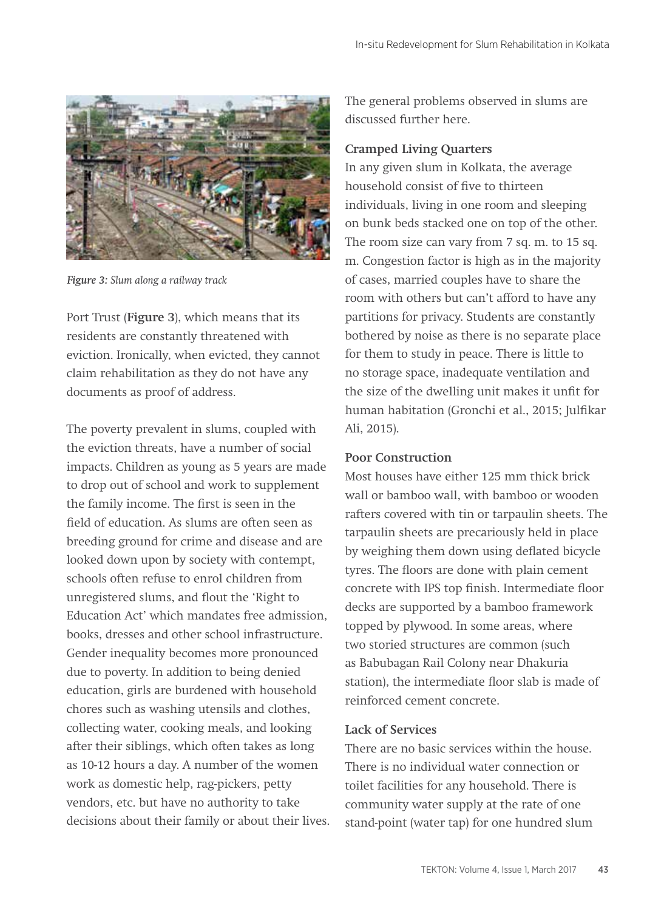

*Figure 3: Slum along a railway track*

Port Trust (**Figure 3**), which means that its residents are constantly threatened with eviction. Ironically, when evicted, they cannot claim rehabilitation as they do not have any documents as proof of address.

The poverty prevalent in slums, coupled with the eviction threats, have a number of social impacts. Children as young as 5 years are made to drop out of school and work to supplement the family income. The first is seen in the field of education. As slums are often seen as breeding ground for crime and disease and are looked down upon by society with contempt, schools often refuse to enrol children from unregistered slums, and flout the 'Right to Education Act' which mandates free admission, books, dresses and other school infrastructure. Gender inequality becomes more pronounced due to poverty. In addition to being denied education, girls are burdened with household chores such as washing utensils and clothes, collecting water, cooking meals, and looking after their siblings, which often takes as long as 10-12 hours a day. A number of the women work as domestic help, rag-pickers, petty vendors, etc. but have no authority to take decisions about their family or about their lives. The general problems observed in slums are discussed further here.

#### **Cramped Living Quarters**

In any given slum in Kolkata, the average household consist of five to thirteen individuals, living in one room and sleeping on bunk beds stacked one on top of the other. The room size can vary from 7 sq. m. to 15 sq. m. Congestion factor is high as in the majority of cases, married couples have to share the room with others but can't afford to have any partitions for privacy. Students are constantly bothered by noise as there is no separate place for them to study in peace. There is little to no storage space, inadequate ventilation and the size of the dwelling unit makes it unfit for human habitation (Gronchi et al., 2015; Julfikar Ali, 2015).

#### **Poor Construction**

Most houses have either 125 mm thick brick wall or bamboo wall, with bamboo or wooden rafters covered with tin or tarpaulin sheets. The tarpaulin sheets are precariously held in place by weighing them down using deflated bicycle tyres. The floors are done with plain cement concrete with IPS top finish. Intermediate floor decks are supported by a bamboo framework topped by plywood. In some areas, where two storied structures are common (such as Babubagan Rail Colony near Dhakuria station), the intermediate floor slab is made of reinforced cement concrete.

#### **Lack of Services**

There are no basic services within the house. There is no individual water connection or toilet facilities for any household. There is community water supply at the rate of one stand-point (water tap) for one hundred slum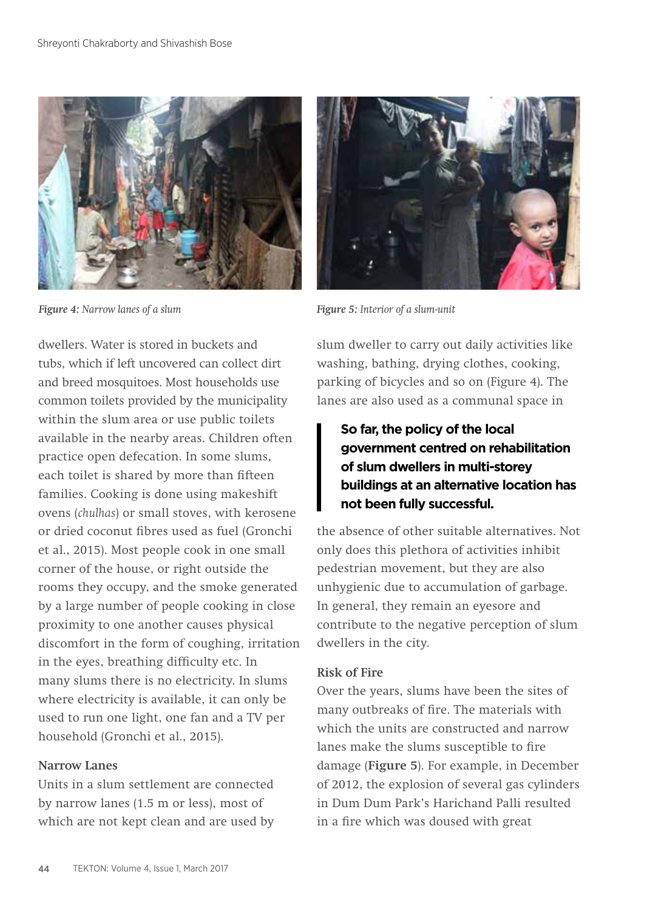

*Figure 4: Narrow lanes of a slum Figure 5: Interior of a slum-unit*

dwellers. Water is stored in buckets and tubs, which if left uncovered can collect dirt and breed mosquitoes. Most households use common toilets provided by the municipality within the slum area or use public toilets available in the nearby areas. Children often practice open defecation. In some slums, each toilet is shared by more than fifteen families. Cooking is done using makeshift ovens (*chulhas*) or small stoves, with kerosene or dried coconut fibres used as fuel (Gronchi et al., 2015). Most people cook in one small corner of the house, or right outside the rooms they occupy, and the smoke generated by a large number of people cooking in close proximity to one another causes physical discomfort in the form of coughing, irritation in the eyes, breathing difficulty etc. In many slums there is no electricity. In slums where electricity is available, it can only be used to run one light, one fan and a TV per household (Gronchi et al., 2015).

#### **Narrow Lanes**

Units in a slum settlement are connected by narrow lanes (1.5 m or less), most of which are not kept clean and are used by



slum dweller to carry out daily activities like washing, bathing, drying clothes, cooking, parking of bicycles and so on (Figure 4). The lanes are also used as a communal space in

# **So far, the policy of the local government centred on rehabilitation of slum dwellers in multi-storey buildings at an alternative location has not been fully successful.**

the absence of other suitable alternatives. Not only does this plethora of activities inhibit pedestrian movement, but they are also unhygienic due to accumulation of garbage. In general, they remain an eyesore and contribute to the negative perception of slum dwellers in the city.

#### **Risk of Fire**

Over the years, slums have been the sites of many outbreaks of fire. The materials with which the units are constructed and narrow lanes make the slums susceptible to fire damage (**Figure 5**). For example, in December of 2012, the explosion of several gas cylinders in Dum Dum Park's Harichand Palli resulted in a fire which was doused with great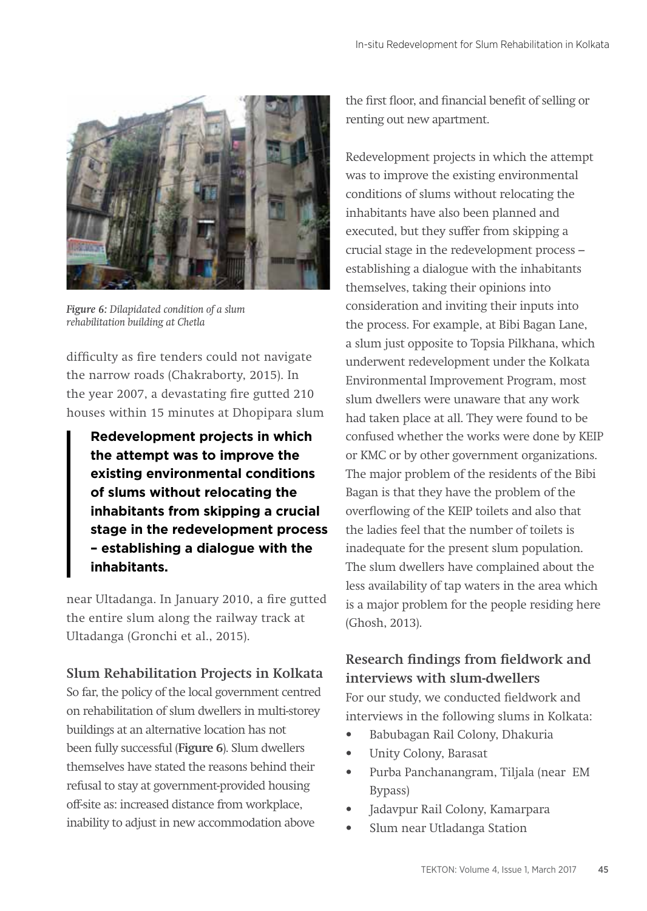

*Figure 6: Dilapidated condition of a slum rehabilitation building at Chetla*

difficulty as fire tenders could not navigate the narrow roads (Chakraborty, 2015). In the year 2007, a devastating fire gutted 210 houses within 15 minutes at Dhopipara slum

**Redevelopment projects in which the attempt was to improve the existing environmental conditions of slums without relocating the inhabitants from skipping a crucial stage in the redevelopment process – establishing a dialogue with the inhabitants.**

near Ultadanga. In January 2010, a fire gutted the entire slum along the railway track at Ultadanga (Gronchi et al., 2015).

# **Slum Rehabilitation Projects in Kolkata**

So far, the policy of the local government centred on rehabilitation of slum dwellers in multi-storey buildings at an alternative location has not been fully successful (**Figure 6**). Slum dwellers themselves have stated the reasons behind their refusal to stay at government-provided housing off-site as: increased distance from workplace, inability to adjust in new accommodation above

the first floor, and financial benefit of selling or renting out new apartment.

Redevelopment projects in which the attempt was to improve the existing environmental conditions of slums without relocating the inhabitants have also been planned and executed, but they suffer from skipping a crucial stage in the redevelopment process – establishing a dialogue with the inhabitants themselves, taking their opinions into consideration and inviting their inputs into the process. For example, at Bibi Bagan Lane, a slum just opposite to Topsia Pilkhana, which underwent redevelopment under the Kolkata Environmental Improvement Program, most slum dwellers were unaware that any work had taken place at all. They were found to be confused whether the works were done by KEIP or KMC or by other government organizations. The major problem of the residents of the Bibi Bagan is that they have the problem of the overflowing of the KEIP toilets and also that the ladies feel that the number of toilets is inadequate for the present slum population. The slum dwellers have complained about the less availability of tap waters in the area which is a major problem for the people residing here (Ghosh, 2013).

# **Research findings from fieldwork and interviews with slum-dwellers**

For our study, we conducted fieldwork and interviews in the following slums in Kolkata:

- Babubagan Rail Colony, Dhakuria
- Unity Colony, Barasat
- Purba Panchanangram, Tiljala (near EM Bypass)
- Jadavpur Rail Colony, Kamarpara
- Slum near Utladanga Station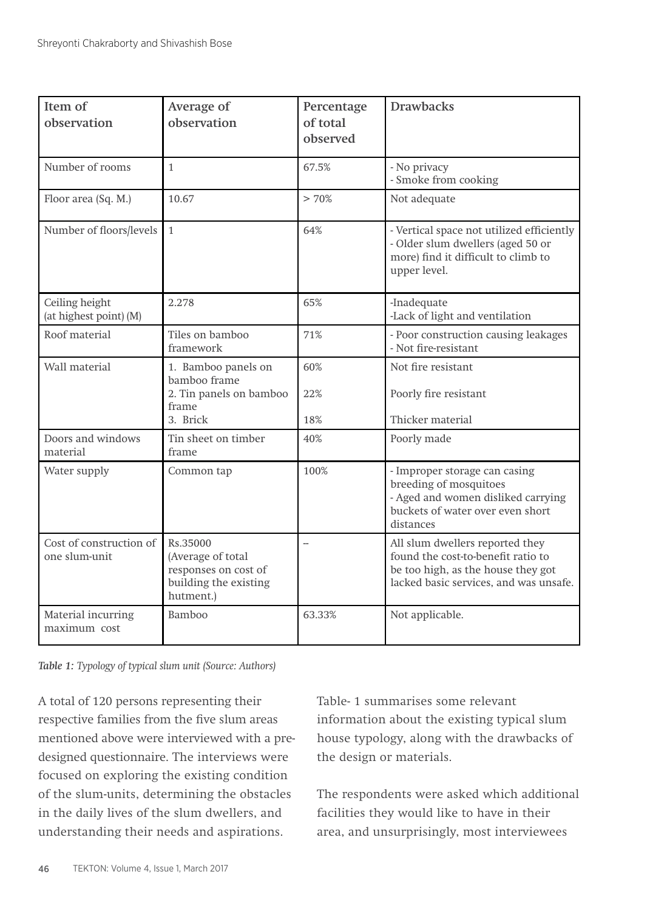| Item of<br>observation                   | Average of<br>observation                                                                   | Percentage<br>of total<br>observed | <b>Drawbacks</b>                                                                                                                                      |
|------------------------------------------|---------------------------------------------------------------------------------------------|------------------------------------|-------------------------------------------------------------------------------------------------------------------------------------------------------|
| Number of rooms                          | $\mathbf{1}$                                                                                | 67.5%                              | - No privacy<br>- Smoke from cooking                                                                                                                  |
| Floor area (Sq. M.)                      | 10.67                                                                                       | > 70%                              | Not adequate                                                                                                                                          |
| Number of floors/levels                  | $\mathbf{1}$                                                                                | 64%                                | - Vertical space not utilized efficiently<br>- Older slum dwellers (aged 50 or<br>more) find it difficult to climb to<br>upper level.                 |
| Ceiling height<br>(at highest point) (M) | 2.278                                                                                       | 65%                                | -Inadequate<br>-Lack of light and ventilation                                                                                                         |
| Roof material                            | Tiles on bamboo<br>framework                                                                | 71%                                | - Poor construction causing leakages<br>- Not fire-resistant                                                                                          |
| Wall material                            | 1. Bamboo panels on<br>bamboo frame<br>2. Tin panels on bamboo<br>frame<br>3. Brick         | 60%<br>22%<br>18%                  | Not fire resistant<br>Poorly fire resistant<br>Thicker material                                                                                       |
| Doors and windows<br>material            | Tin sheet on timber<br>frame                                                                | 40%                                | Poorly made                                                                                                                                           |
| Water supply                             | Common tap                                                                                  | 100%                               | - Improper storage can casing<br>breeding of mosquitoes<br>- Aged and women disliked carrying<br>buckets of water over even short<br>distances        |
| Cost of construction of<br>one slum-unit | Rs.35000<br>(Average of total<br>responses on cost of<br>building the existing<br>hutment.) | L.                                 | All slum dwellers reported they<br>found the cost-to-benefit ratio to<br>be too high, as the house they got<br>lacked basic services, and was unsafe. |
| Material incurring<br>maximum cost       | Bamboo                                                                                      | 63.33%                             | Not applicable.                                                                                                                                       |

*Table 1: Typology of typical slum unit (Source: Authors)*

A total of 120 persons representing their respective families from the five slum areas mentioned above were interviewed with a predesigned questionnaire. The interviews were focused on exploring the existing condition of the slum-units, determining the obstacles in the daily lives of the slum dwellers, and understanding their needs and aspirations.

Table- 1 summarises some relevant information about the existing typical slum house typology, along with the drawbacks of the design or materials.

The respondents were asked which additional facilities they would like to have in their area, and unsurprisingly, most interviewees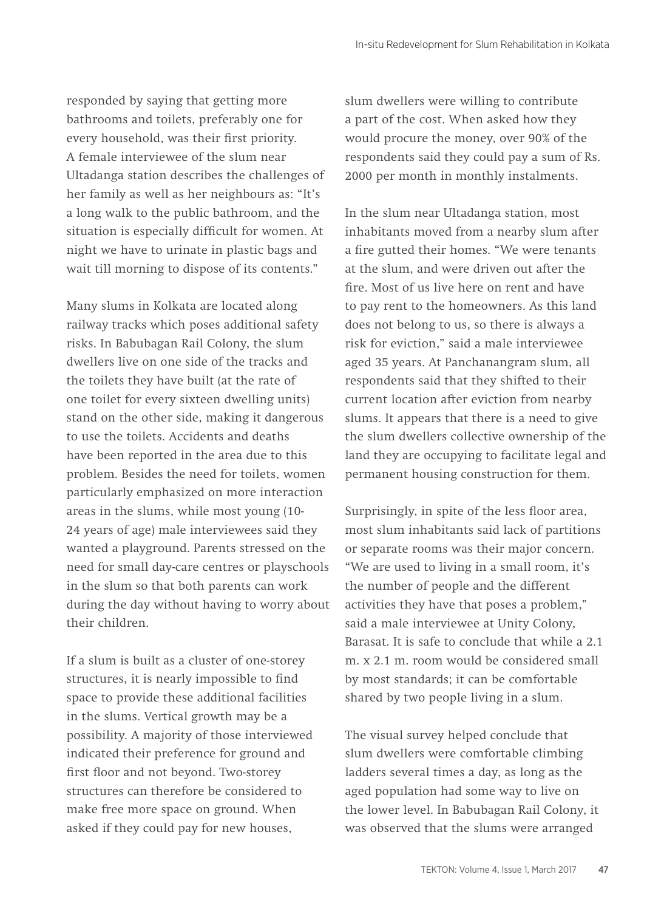responded by saying that getting more bathrooms and toilets, preferably one for every household, was their first priority. A female interviewee of the slum near Ultadanga station describes the challenges of her family as well as her neighbours as: "It's a long walk to the public bathroom, and the situation is especially difficult for women. At night we have to urinate in plastic bags and wait till morning to dispose of its contents."

Many slums in Kolkata are located along railway tracks which poses additional safety risks. In Babubagan Rail Colony, the slum dwellers live on one side of the tracks and the toilets they have built (at the rate of one toilet for every sixteen dwelling units) stand on the other side, making it dangerous to use the toilets. Accidents and deaths have been reported in the area due to this problem. Besides the need for toilets, women particularly emphasized on more interaction areas in the slums, while most young (10- 24 years of age) male interviewees said they wanted a playground. Parents stressed on the need for small day-care centres or playschools in the slum so that both parents can work during the day without having to worry about their children.

If a slum is built as a cluster of one-storey structures, it is nearly impossible to find space to provide these additional facilities in the slums. Vertical growth may be a possibility. A majority of those interviewed indicated their preference for ground and first floor and not beyond. Two-storey structures can therefore be considered to make free more space on ground. When asked if they could pay for new houses,

slum dwellers were willing to contribute a part of the cost. When asked how they would procure the money, over 90% of the respondents said they could pay a sum of Rs. 2000 per month in monthly instalments.

In the slum near Ultadanga station, most inhabitants moved from a nearby slum after a fire gutted their homes. "We were tenants at the slum, and were driven out after the fire. Most of us live here on rent and have to pay rent to the homeowners. As this land does not belong to us, so there is always a risk for eviction," said a male interviewee aged 35 years. At Panchanangram slum, all respondents said that they shifted to their current location after eviction from nearby slums. It appears that there is a need to give the slum dwellers collective ownership of the land they are occupying to facilitate legal and permanent housing construction for them.

Surprisingly, in spite of the less floor area, most slum inhabitants said lack of partitions or separate rooms was their major concern. "We are used to living in a small room, it's the number of people and the different activities they have that poses a problem," said a male interviewee at Unity Colony, Barasat. It is safe to conclude that while a 2.1 m. x 2.1 m. room would be considered small by most standards; it can be comfortable shared by two people living in a slum.

The visual survey helped conclude that slum dwellers were comfortable climbing ladders several times a day, as long as the aged population had some way to live on the lower level. In Babubagan Rail Colony, it was observed that the slums were arranged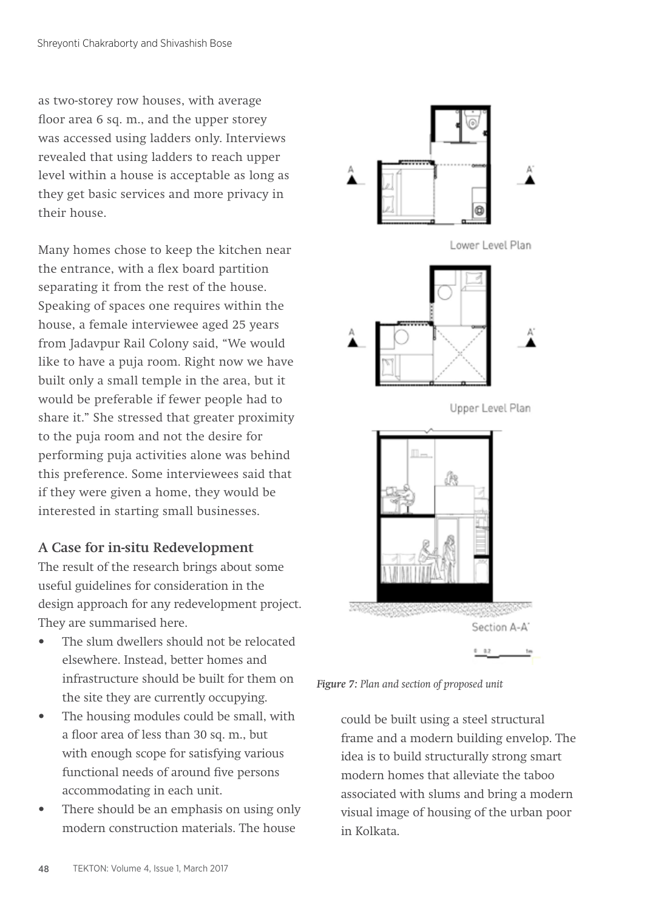as two-storey row houses, with average floor area 6 sq. m., and the upper storey was accessed using ladders only. Interviews revealed that using ladders to reach upper level within a house is acceptable as long as they get basic services and more privacy in their house.

Many homes chose to keep the kitchen near the entrance, with a flex board partition separating it from the rest of the house. Speaking of spaces one requires within the house, a female interviewee aged 25 years from Jadavpur Rail Colony said, "We would like to have a puja room. Right now we have built only a small temple in the area, but it would be preferable if fewer people had to share it." She stressed that greater proximity to the puja room and not the desire for performing puja activities alone was behind this preference. Some interviewees said that if they were given a home, they would be interested in starting small businesses.

## **A Case for in-situ Redevelopment**

The result of the research brings about some useful guidelines for consideration in the design approach for any redevelopment project. They are summarised here.

- The slum dwellers should not be relocated elsewhere. Instead, better homes and infrastructure should be built for them on the site they are currently occupying.
- The housing modules could be small, with a floor area of less than 30 sq. m., but with enough scope for satisfying various functional needs of around five persons accommodating in each unit.
- There should be an emphasis on using only modern construction materials. The house



*Figure 7: Plan and section of proposed unit* 

could be built using a steel structural frame and a modern building envelop. The idea is to build structurally strong smart modern homes that alleviate the taboo associated with slums and bring a modern visual image of housing of the urban poor in Kolkata.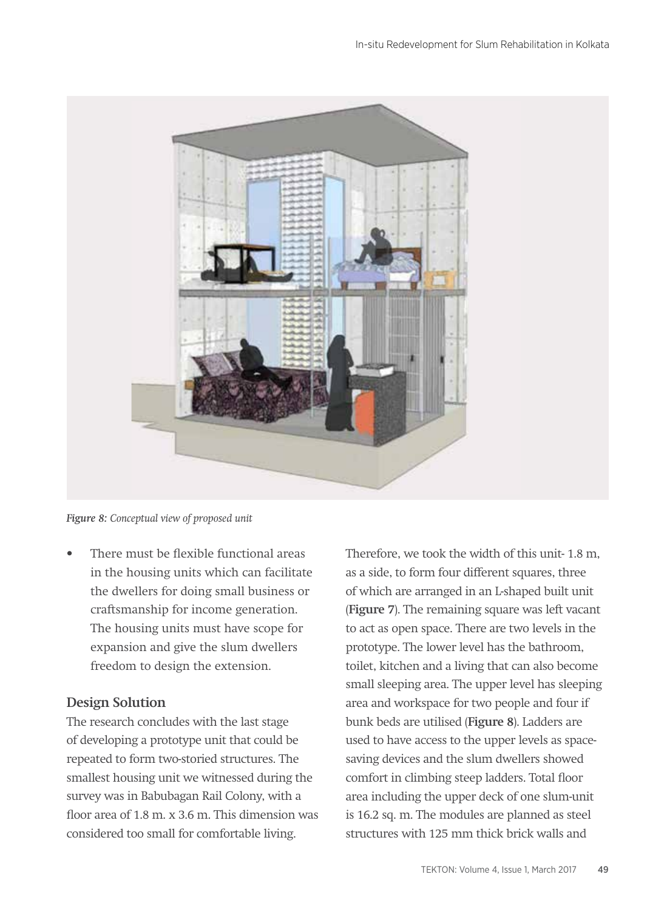

*Figure 8: Conceptual view of proposed unit*

There must be flexible functional areas in the housing units which can facilitate the dwellers for doing small business or craftsmanship for income generation. The housing units must have scope for expansion and give the slum dwellers freedom to design the extension.

## **Design Solution**

The research concludes with the last stage of developing a prototype unit that could be repeated to form two-storied structures. The smallest housing unit we witnessed during the survey was in Babubagan Rail Colony, with a floor area of 1.8 m. x 3.6 m. This dimension was considered too small for comfortable living.

Therefore, we took the width of this unit- 1.8 m, as a side, to form four different squares, three of which are arranged in an L-shaped built unit (**Figure 7**). The remaining square was left vacant to act as open space. There are two levels in the prototype. The lower level has the bathroom, toilet, kitchen and a living that can also become small sleeping area. The upper level has sleeping area and workspace for two people and four if bunk beds are utilised (**Figure 8**). Ladders are used to have access to the upper levels as spacesaving devices and the slum dwellers showed comfort in climbing steep ladders. Total floor area including the upper deck of one slum-unit is 16.2 sq. m. The modules are planned as steel structures with 125 mm thick brick walls and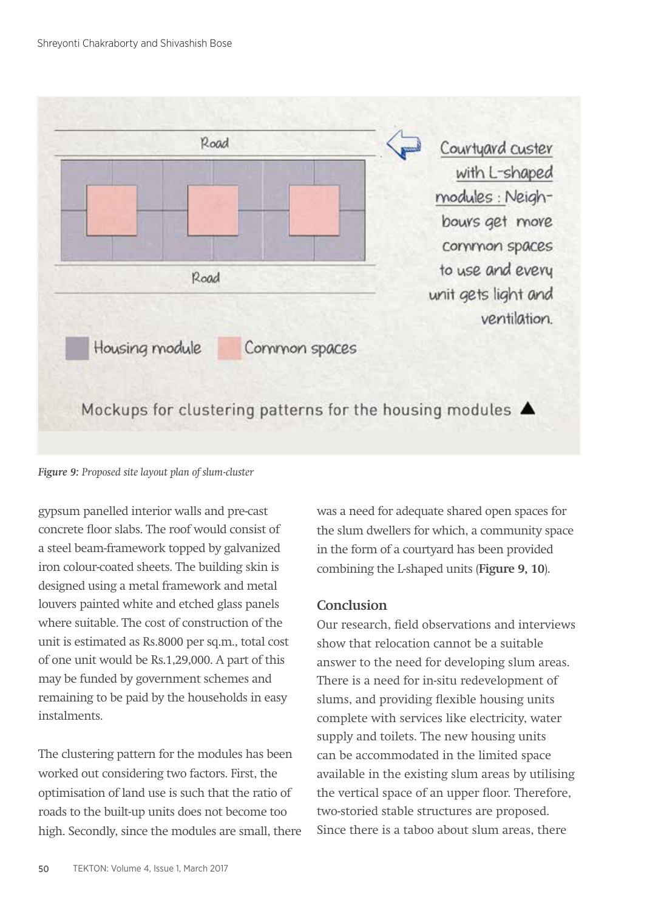

*Figure 9: Proposed site layout plan of slum-cluster* 

gypsum panelled interior walls and pre-cast concrete floor slabs. The roof would consist of a steel beam-framework topped by galvanized iron colour-coated sheets. The building skin is designed using a metal framework and metal louvers painted white and etched glass panels where suitable. The cost of construction of the unit is estimated as Rs.8000 per sq.m., total cost of one unit would be Rs.1,29,000. A part of this may be funded by government schemes and remaining to be paid by the households in easy instalments.

The clustering pattern for the modules has been worked out considering two factors. First, the optimisation of land use is such that the ratio of roads to the built-up units does not become too high. Secondly, since the modules are small, there was a need for adequate shared open spaces for the slum dwellers for which, a community space in the form of a courtyard has been provided combining the L-shaped units (**Figure 9, 10**).

## **Conclusion**

Our research, field observations and interviews show that relocation cannot be a suitable answer to the need for developing slum areas. There is a need for in-situ redevelopment of slums, and providing flexible housing units complete with services like electricity, water supply and toilets. The new housing units can be accommodated in the limited space available in the existing slum areas by utilising the vertical space of an upper floor. Therefore, two-storied stable structures are proposed. Since there is a taboo about slum areas, there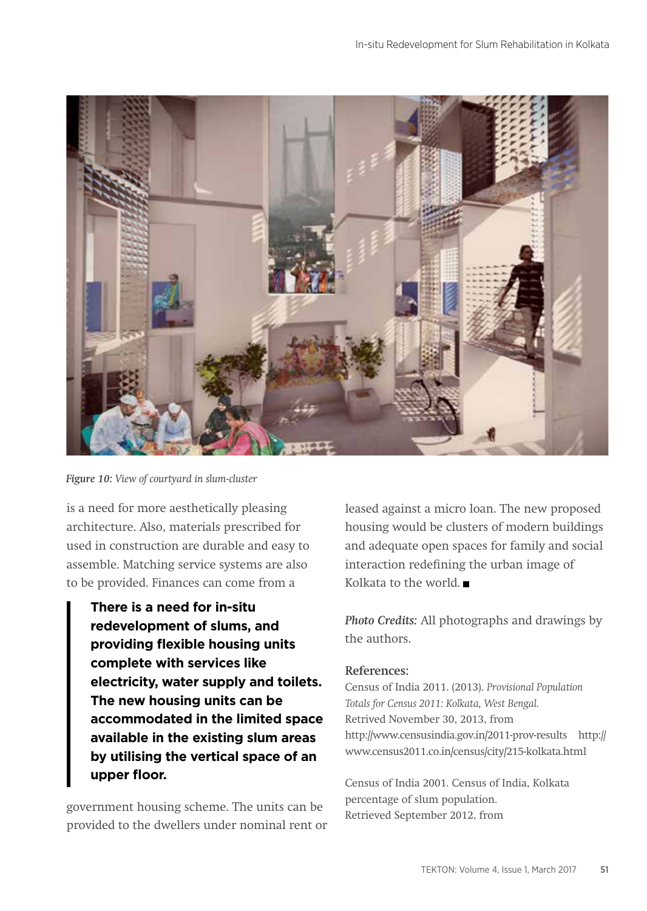

*Figure 10: View of courtyard in slum-cluster* 

is a need for more aesthetically pleasing architecture. Also, materials prescribed for used in construction are durable and easy to assemble. Matching service systems are also to be provided. Finances can come from a

**There is a need for in-situ redevelopment of slums, and providing flexible housing units complete with services like electricity, water supply and toilets. The new housing units can be accommodated in the limited space available in the existing slum areas by utilising the vertical space of an upper floor.**

government housing scheme. The units can be provided to the dwellers under nominal rent or leased against a micro loan. The new proposed housing would be clusters of modern buildings and adequate open spaces for family and social interaction redefining the urban image of Kolkata to the world.

*Photo Credits:* All photographs and drawings by the authors.

#### **References:**

Census of India 2011. (2013). *Provisional Population Totals for Census 2011: Kolkata, West Bengal.* Retrived November 30, 2013, from http://www.censusindia.gov.in/2011-prov-results http:// www.census2011.co.in/census/city/215-kolkata.html

Census of India 2001. Census of India, Kolkata percentage of slum population. Retrieved September 2012, from